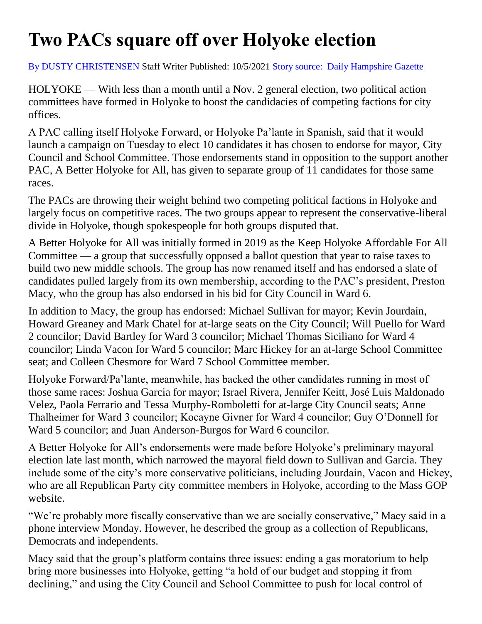## **Two PACs square off over Holyoke election**

[By DUSTY CHRISTENSEN S](https://www.gazettenet.com/byline?byline=By%20DUSTY%20CHRISTENSEN)taff Writer Published: 10/5/2021 [Story source: Daily Hampshire](https://www.gazettenet.com/Political-Action-Committees-take-sides-in-Holyoke-campaigns-42835346) Gazette

HOLYOKE — With less than a month until a Nov. 2 general election, two political action committees have formed in Holyoke to boost the candidacies of competing factions for city offices.

A PAC calling itself Holyoke Forward, or Holyoke Pa'lante in Spanish, said that it would launch a campaign on Tuesday to elect 10 candidates it has chosen to endorse for mayor, City Council and School Committee. Those endorsements stand in opposition to the support another PAC, A Better Holyoke for All, has given to separate group of 11 candidates for those same races.

The PACs are throwing their weight behind two competing political factions in Holyoke and largely focus on competitive races. The two groups appear to represent the conservative-liberal divide in Holyoke, though spokespeople for both groups disputed that.

A Better Holyoke for All was initially formed in 2019 as the Keep Holyoke Affordable For All Committee — a group that successfully opposed a ballot question that year to raise taxes to build two new middle schools. The group has now renamed itself and has endorsed a slate of candidates pulled largely from its own membership, according to the PAC's president, Preston Macy, who the group has also endorsed in his bid for City Council in Ward 6.

In addition to Macy, the group has endorsed: Michael Sullivan for mayor; Kevin Jourdain, Howard Greaney and Mark Chatel for at-large seats on the City Council; Will Puello for Ward 2 councilor; David Bartley for Ward 3 councilor; Michael Thomas Siciliano for Ward 4 councilor; Linda Vacon for Ward 5 councilor; Marc Hickey for an at-large School Committee seat; and Colleen Chesmore for Ward 7 School Committee member.

Holyoke Forward/Pa'lante, meanwhile, has backed the other candidates running in most of those same races: Joshua Garcia for mayor; Israel Rivera, Jennifer Keitt, José Luis Maldonado Velez, Paola Ferrario and Tessa Murphy-Romboletti for at-large City Council seats; Anne Thalheimer for Ward 3 councilor; Kocayne Givner for Ward 4 councilor; Guy O'Donnell for Ward 5 councilor; and Juan Anderson-Burgos for Ward 6 councilor.

A Better Holyoke for All's endorsements were made before Holyoke's preliminary mayoral election late last month, which narrowed the mayoral field down to Sullivan and Garcia. They include some of the city's more conservative politicians, including Jourdain, Vacon and Hickey, who are all Republican Party city committee members in Holyoke, according to the Mass GOP website.

"We're probably more fiscally conservative than we are socially conservative," Macy said in a phone interview Monday. However, he described the group as a collection of Republicans, Democrats and independents.

Macy said that the group's platform contains three issues: ending a gas moratorium to help bring more businesses into Holyoke, getting "a hold of our budget and stopping it from declining," and using the City Council and School Committee to push for local control of